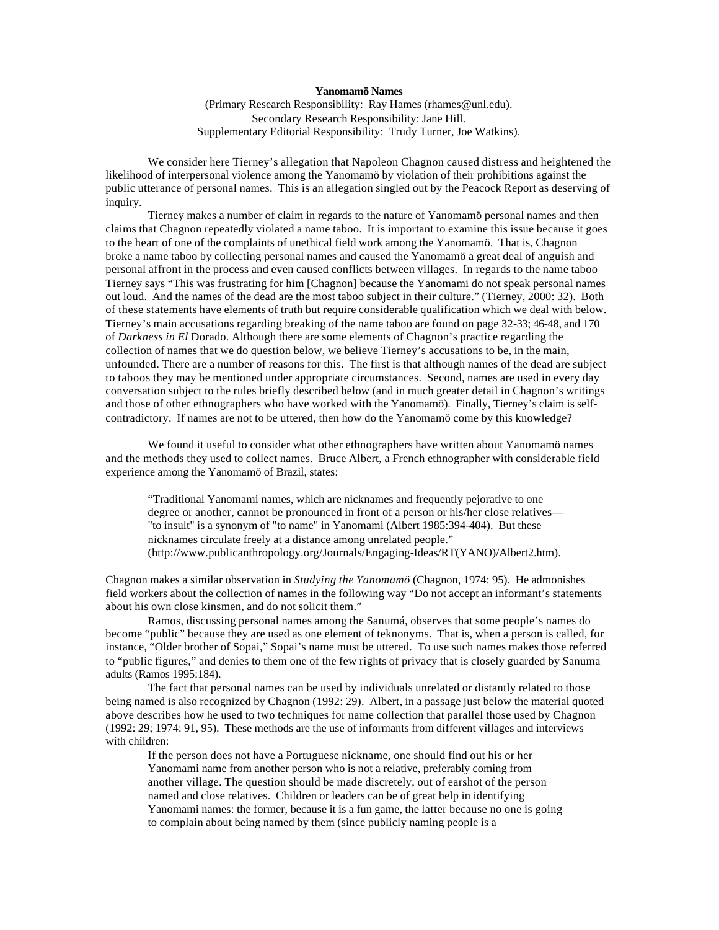## **Yanomamö Names**

(Primary Research Responsibility: Ray Hames (rhames@unl.edu). Secondary Research Responsibility: Jane Hill. Supplementary Editorial Responsibility: Trudy Turner, Joe Watkins).

We consider here Tierney's allegation that Napoleon Chagnon caused distress and heightened the likelihood of interpersonal violence among the Yanomamö by violation of their prohibitions against the public utterance of personal names. This is an allegation singled out by the Peacock Report as deserving of inquiry.

Tierney makes a number of claim in regards to the nature of Yanomamö personal names and then claims that Chagnon repeatedly violated a name taboo. It is important to examine this issue because it goes to the heart of one of the complaints of unethical field work among the Yanomamö. That is, Chagnon broke a name taboo by collecting personal names and caused the Yanomamö a great deal of anguish and personal affront in the process and even caused conflicts between villages. In regards to the name taboo Tierney says "This was frustrating for him [Chagnon] because the Yanomami do not speak personal names out loud. And the names of the dead are the most taboo subject in their culture." (Tierney, 2000: 32). Both of these statements have elements of truth but require considerable qualification which we deal with below. Tierney's main accusations regarding breaking of the name taboo are found on page 32-33; 46-48, and 170 of *Darkness in El* Dorado. Although there are some elements of Chagnon's practice regarding the collection of names that we do question below, we believe Tierney's accusations to be, in the main, unfounded. There are a number of reasons for this. The first is that although names of the dead are subject to taboos they may be mentioned under appropriate circumstances. Second, names are used in every day conversation subject to the rules briefly described below (and in much greater detail in Chagnon's writings and those of other ethnographers who have worked with the Yanomamö). Finally, Tierney's claim is selfcontradictory. If names are not to be uttered, then how do the Yanomamö come by this knowledge?

We found it useful to consider what other ethnographers have written about Yanomamö names and the methods they used to collect names. Bruce Albert, a French ethnographer with considerable field experience among the Yanomamö of Brazil, states:

"Traditional Yanomami names, which are nicknames and frequently pejorative to one degree or another, cannot be pronounced in front of a person or his/her close relatives— "to insult" is a synonym of "to name" in Yanomami (Albert 1985:394-404). But these nicknames circulate freely at a distance among unrelated people." (http://www.publicanthropology.org/Journals/Engaging-Ideas/RT(YANO)/Albert2.htm).

Chagnon makes a similar observation in *Studying the Yanomamö* (Chagnon, 1974: 95). He admonishes field workers about the collection of names in the following way "Do not accept an informant's statements about his own close kinsmen, and do not solicit them."

Ramos, discussing personal names among the Sanumá, observes that some people's names do become "public" because they are used as one element of teknonyms. That is, when a person is called, for instance, "Older brother of Sopai," Sopai's name must be uttered. To use such names makes those referred to "public figures," and denies to them one of the few rights of privacy that is closely guarded by Sanuma adults (Ramos 1995:184).

The fact that personal names can be used by individuals unrelated or distantly related to those being named is also recognized by Chagnon (1992: 29). Albert, in a passage just below the material quoted above describes how he used to two techniques for name collection that parallel those used by Chagnon (1992: 29; 1974: 91, 95). These methods are the use of informants from different villages and interviews with children:

If the person does not have a Portuguese nickname, one should find out his or her Yanomami name from another person who is not a relative, preferably coming from another village. The question should be made discretely, out of earshot of the person named and close relatives. Children or leaders can be of great help in identifying Yanomami names: the former, because it is a fun game, the latter because no one is going to complain about being named by them (since publicly naming people is a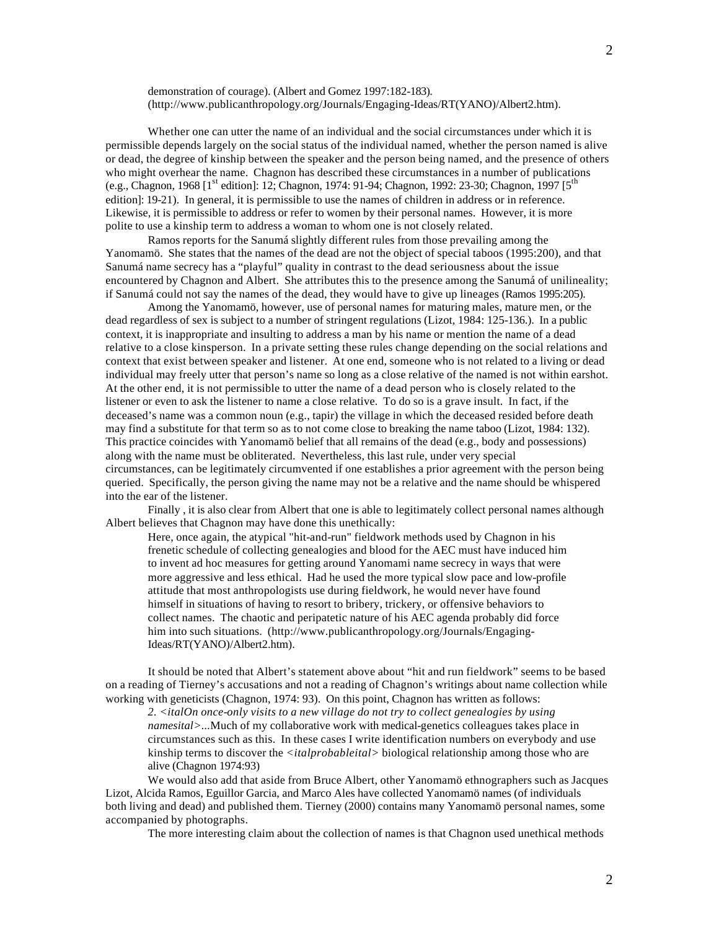demonstration of courage). (Albert and Gomez 1997:182-183). (http://www.publicanthropology.org/Journals/Engaging-Ideas/RT(YANO)/Albert2.htm).

Whether one can utter the name of an individual and the social circumstances under which it is permissible depends largely on the social status of the individual named, whether the person named is alive or dead, the degree of kinship between the speaker and the person being named, and the presence of others who might overhear the name. Chagnon has described these circumstances in a number of publications (e.g., Chagnon, 1968 [1<sup>st</sup> edition]: 12; Chagnon, 1974: 91-94; Chagnon, 1992: 23-30; Chagnon, 1997 [5<sup>th</sup>] edition]: 19-21). In general, it is permissible to use the names of children in address or in reference. Likewise, it is permissible to address or refer to women by their personal names. However, it is more polite to use a kinship term to address a woman to whom one is not closely related.

Ramos reports for the Sanumá slightly different rules from those prevailing among the Yanomamö. She states that the names of the dead are not the object of special taboos (1995:200), and that Sanumá name secrecy has a "playful" quality in contrast to the dead seriousness about the issue encountered by Chagnon and Albert. She attributes this to the presence among the Sanumá of unilineality; if Sanumá could not say the names of the dead, they would have to give up lineages (Ramos 1995:205).

Among the Yanomamö, however, use of personal names for maturing males, mature men, or the dead regardless of sex is subject to a number of stringent regulations (Lizot, 1984: 125-136.). In a public context, it is inappropriate and insulting to address a man by his name or mention the name of a dead relative to a close kinsperson. In a private setting these rules change depending on the social relations and context that exist between speaker and listener. At one end, someone who is not related to a living or dead individual may freely utter that person's name so long as a close relative of the named is not within earshot. At the other end, it is not permissible to utter the name of a dead person who is closely related to the listener or even to ask the listener to name a close relative. To do so is a grave insult. In fact, if the deceased's name was a common noun (e.g., tapir) the village in which the deceased resided before death may find a substitute for that term so as to not come close to breaking the name taboo (Lizot, 1984: 132). This practice coincides with Yanomamö belief that all remains of the dead (e.g., body and possessions) along with the name must be obliterated. Nevertheless, this last rule, under very special circumstances, can be legitimately circumvented if one establishes a prior agreement with the person being queried. Specifically, the person giving the name may not be a relative and the name should be whispered into the ear of the listener.

Finally , it is also clear from Albert that one is able to legitimately collect personal names although Albert believes that Chagnon may have done this unethically:

Here, once again, the atypical "hit-and-run" fieldwork methods used by Chagnon in his frenetic schedule of collecting genealogies and blood for the AEC must have induced him to invent ad hoc measures for getting around Yanomami name secrecy in ways that were more aggressive and less ethical. Had he used the more typical slow pace and low-profile attitude that most anthropologists use during fieldwork, he would never have found himself in situations of having to resort to bribery, trickery, or offensive behaviors to collect names. The chaotic and peripatetic nature of his AEC agenda probably did force him into such situations. (http://www.publicanthropology.org/Journals/Engaging-Ideas/RT(YANO)/Albert2.htm).

It should be noted that Albert's statement above about "hit and run fieldwork" seems to be based on a reading of Tierney's accusations and not a reading of Chagnon's writings about name collection while working with geneticists (Chagnon, 1974: 93). On this point, Chagnon has written as follows:

*2. <italOn once-only visits to a new village do not try to collect genealogies by using namesital>...*Much of my collaborative work with medical-genetics colleagues takes place in circumstances such as this. In these cases I write identification numbers on everybody and use kinship terms to discover the *<italprobableital>* biological relationship among those who are alive (Chagnon 1974:93)

We would also add that aside from Bruce Albert, other Yanomamö ethnographers such as Jacques Lizot, Alcida Ramos, Eguillor Garcia, and Marco Ales have collected Yanomamö names (of individuals both living and dead) and published them. Tierney (2000) contains many Yanomamö personal names, some accompanied by photographs.

The more interesting claim about the collection of names is that Chagnon used unethical methods